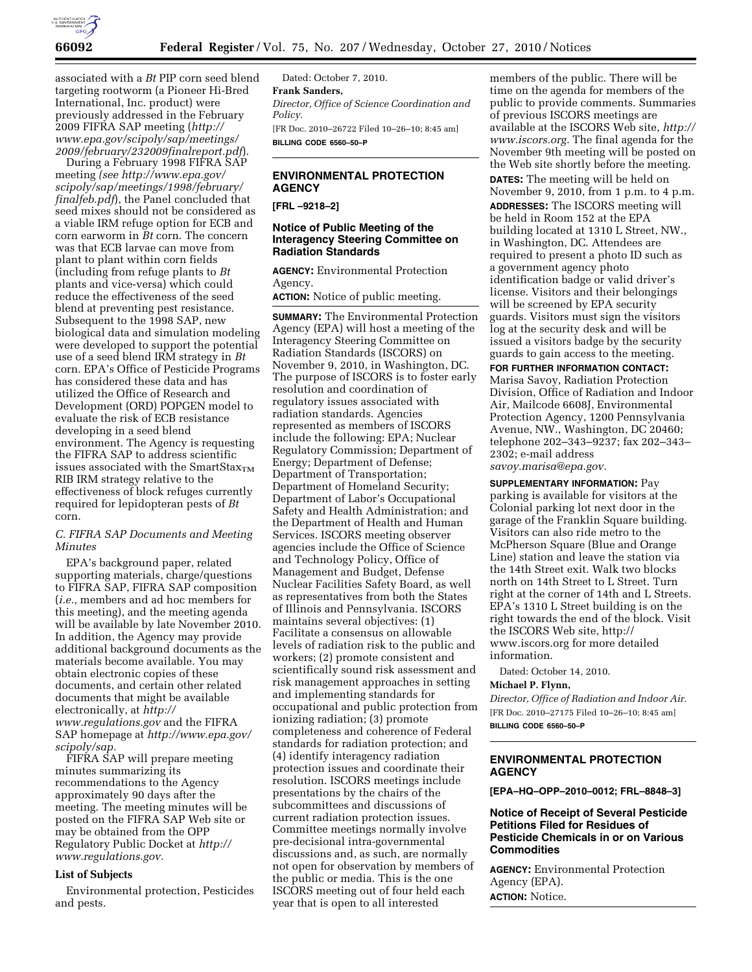

associated with a *Bt* PIP corn seed blend targeting rootworm (a Pioneer Hi-Bred International, Inc. product) were previously addressed in the February 2009 FIFRA SAP meeting (*[http://](http://www.epa.gov/scipoly/sap/meetings/2009/february/232009finalreport.pdf) [www.epa.gov/scipoly/sap/meetings/](http://www.epa.gov/scipoly/sap/meetings/2009/february/232009finalreport.pdf) [2009/february/232009finalreport.pdf](http://www.epa.gov/scipoly/sap/meetings/2009/february/232009finalreport.pdf)*).

During a February 1998 FIFRA SAP meeting *(see [http://www.epa.gov/](http://www.epa.gov/scipoly/sap/meetings/1998/february/finalfeb.pdf)  [scipoly/sap/meetings/1998/february/](http://www.epa.gov/scipoly/sap/meetings/1998/february/finalfeb.pdf)  [finalfeb.pdf](http://www.epa.gov/scipoly/sap/meetings/1998/february/finalfeb.pdf)*), the Panel concluded that seed mixes should not be considered as a viable IRM refuge option for ECB and corn earworm in *Bt* corn. The concern was that ECB larvae can move from plant to plant within corn fields (including from refuge plants to *Bt*  plants and vice-versa) which could reduce the effectiveness of the seed blend at preventing pest resistance. Subsequent to the 1998 SAP, new biological data and simulation modeling were developed to support the potential use of a seed blend IRM strategy in *Bt*  corn. EPA's Office of Pesticide Programs has considered these data and has utilized the Office of Research and Development (ORD) POPGEN model to evaluate the risk of ECB resistance developing in a seed blend environment. The Agency is requesting the FIFRA SAP to address scientific issues associated with the SmartSta $x_{TM}$ RIB IRM strategy relative to the effectiveness of block refuges currently required for lepidopteran pests of *Bt*  corn.

# *C. FIFRA SAP Documents and Meeting Minutes*

EPA's background paper, related supporting materials, charge/questions to FIFRA SAP, FIFRA SAP composition (*i.e.,* members and ad hoc members for this meeting), and the meeting agenda will be available by late November 2010. In addition, the Agency may provide additional background documents as the materials become available. You may obtain electronic copies of these documents, and certain other related documents that might be available electronically, at *[http://](http://www.regulations.gov)  [www.regulations.gov](http://www.regulations.gov)* and the FIFRA SAP homepage at *[http://www.epa.gov/](http://www.epa.gov/scipoly/sap)  [scipoly/sap.](http://www.epa.gov/scipoly/sap)* 

FIFRA SAP will prepare meeting minutes summarizing its recommendations to the Agency approximately 90 days after the meeting. The meeting minutes will be posted on the FIFRA SAP Web site or may be obtained from the OPP Regulatory Public Docket at *[http://](http://www.regulations.gov) [www.regulations.gov.](http://www.regulations.gov)* 

### **List of Subjects**

Environmental protection, Pesticides and pests.

Dated: October 7, 2010. **Frank Sanders,**  *Director, Office of Science Coordination and Policy.*  [FR Doc. 2010–26722 Filed 10–26–10; 8:45 am] **BILLING CODE 6560–50–P** 

# **ENVIRONMENTAL PROTECTION AGENCY**

**[FRL –9218–2]** 

# **Notice of Public Meeting of the Interagency Steering Committee on Radiation Standards**

**AGENCY:** Environmental Protection Agency.

**ACTION:** Notice of public meeting.

**SUMMARY:** The Environmental Protection Agency (EPA) will host a meeting of the Interagency Steering Committee on Radiation Standards (ISCORS) on November 9, 2010, in Washington, DC. The purpose of ISCORS is to foster early resolution and coordination of regulatory issues associated with radiation standards. Agencies represented as members of ISCORS include the following: EPA; Nuclear Regulatory Commission; Department of Energy; Department of Defense; Department of Transportation; Department of Homeland Security; Department of Labor's Occupational Safety and Health Administration; and the Department of Health and Human Services. ISCORS meeting observer agencies include the Office of Science and Technology Policy, Office of Management and Budget, Defense Nuclear Facilities Safety Board, as well as representatives from both the States of Illinois and Pennsylvania. ISCORS maintains several objectives: (1) Facilitate a consensus on allowable levels of radiation risk to the public and workers; (2) promote consistent and scientifically sound risk assessment and risk management approaches in setting and implementing standards for occupational and public protection from ionizing radiation; (3) promote completeness and coherence of Federal standards for radiation protection; and (4) identify interagency radiation protection issues and coordinate their resolution. ISCORS meetings include presentations by the chairs of the subcommittees and discussions of current radiation protection issues. Committee meetings normally involve pre-decisional intra-governmental discussions and, as such, are normally not open for observation by members of the public or media. This is the one ISCORS meeting out of four held each year that is open to all interested

members of the public. There will be time on the agenda for members of the public to provide comments. Summaries of previous ISCORS meetings are available at the ISCORS Web site, *[http://](http://www.iscors.org) [www.iscors.org.](http://www.iscors.org)* The final agenda for the November 9th meeting will be posted on the Web site shortly before the meeting. **DATES:** The meeting will be held on November 9, 2010, from 1 p.m. to 4 p.m. **ADDRESSES:** The ISCORS meeting will be held in Room 152 at the EPA building located at 1310 L Street, NW., in Washington, DC. Attendees are required to present a photo ID such as a government agency photo identification badge or valid driver's license. Visitors and their belongings will be screened by EPA security guards. Visitors must sign the visitors log at the security desk and will be issued a visitors badge by the security guards to gain access to the meeting.

**FOR FURTHER INFORMATION CONTACT:**  Marisa Savoy, Radiation Protection Division, Office of Radiation and Indoor Air, Mailcode 6608J, Environmental Protection Agency, 1200 Pennsylvania Avenue, NW., Washington, DC 20460; telephone 202–343–9237; fax 202–343– 2302; e-mail address *[savoy.marisa@epa.gov.](mailto:savoy.marisa@epa.gov)* 

**SUPPLEMENTARY INFORMATION:** Pay parking is available for visitors at the Colonial parking lot next door in the garage of the Franklin Square building. Visitors can also ride metro to the McPherson Square (Blue and Orange Line) station and leave the station via the 14th Street exit. Walk two blocks north on 14th Street to L Street. Turn right at the corner of 14th and L Streets. EPA's 1310 L Street building is on the right towards the end of the block. Visit the ISCORS Web site, [http://](http://www.iscors.org)  [www.iscors.org](http://www.iscors.org) for more detailed information.

Dated: October 14, 2010.

#### **Michael P. Flynn,**

*Director, Office of Radiation and Indoor Air.*  [FR Doc. 2010–27175 Filed 10–26–10; 8:45 am] **BILLING CODE 6560–50–P** 

# **ENVIRONMENTAL PROTECTION AGENCY**

**[EPA–HQ–OPP–2010–0012; FRL–8848–3]** 

# **Notice of Receipt of Several Pesticide Petitions Filed for Residues of Pesticide Chemicals in or on Various Commodities**

**AGENCY:** Environmental Protection Agency (EPA). **ACTION:** Notice.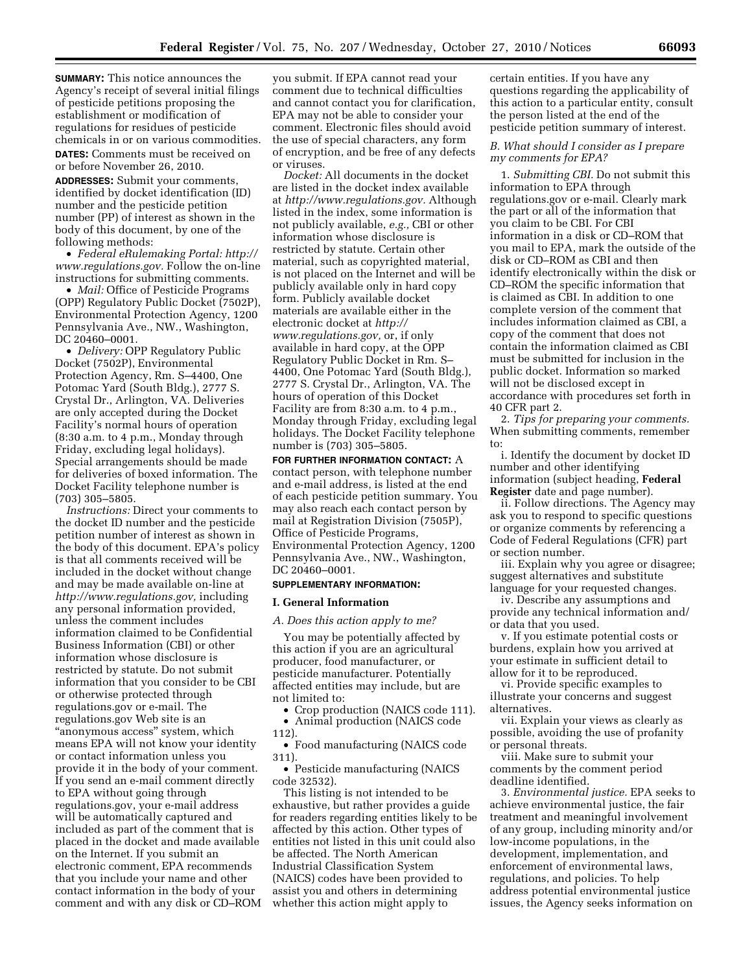**SUMMARY:** This notice announces the Agency's receipt of several initial filings of pesticide petitions proposing the establishment or modification of regulations for residues of pesticide chemicals in or on various commodities. **DATES:** Comments must be received on or before November 26, 2010.

**ADDRESSES:** Submit your comments, identified by docket identification (ID) number and the pesticide petition number (PP) of interest as shown in the body of this document, by one of the following methods:

• *Federal eRulemaking Portal: [http://](http://www.regulations.gov)  [www.regulations.gov.](http://www.regulations.gov)* Follow the on-line instructions for submitting comments.

• *Mail:* Office of Pesticide Programs (OPP) Regulatory Public Docket (7502P), Environmental Protection Agency, 1200 Pennsylvania Ave., NW., Washington, DC 20460–0001.

• *Delivery:* OPP Regulatory Public Docket (7502P), Environmental Protection Agency, Rm. S–4400, One Potomac Yard (South Bldg.), 2777 S. Crystal Dr., Arlington, VA. Deliveries are only accepted during the Docket Facility's normal hours of operation (8:30 a.m. to 4 p.m., Monday through Friday, excluding legal holidays). Special arrangements should be made for deliveries of boxed information. The Docket Facility telephone number is (703) 305–5805.

*Instructions:* Direct your comments to the docket ID number and the pesticide petition number of interest as shown in the body of this document. EPA's policy is that all comments received will be included in the docket without change and may be made available on-line at *[http://www.regulations.gov,](http://www.regulations.gov)* including any personal information provided, unless the comment includes information claimed to be Confidential Business Information (CBI) or other information whose disclosure is restricted by statute. Do not submit information that you consider to be CBI or otherwise protected through regulations.gov or e-mail. The regulations.gov Web site is an ''anonymous access'' system, which means EPA will not know your identity or contact information unless you provide it in the body of your comment. If you send an e-mail comment directly to EPA without going through regulations.gov, your e-mail address will be automatically captured and included as part of the comment that is placed in the docket and made available on the Internet. If you submit an electronic comment, EPA recommends that you include your name and other contact information in the body of your comment and with any disk or CD–ROM

you submit. If EPA cannot read your comment due to technical difficulties and cannot contact you for clarification, EPA may not be able to consider your comment. Electronic files should avoid the use of special characters, any form of encryption, and be free of any defects or viruses.

*Docket:* All documents in the docket are listed in the docket index available at *[http://www.regulations.gov.](http://www.regulations.gov)* Although listed in the index, some information is not publicly available, *e.g.,* CBI or other information whose disclosure is restricted by statute. Certain other material, such as copyrighted material, is not placed on the Internet and will be publicly available only in hard copy form. Publicly available docket materials are available either in the electronic docket at *[http://](http://www.regulations.gov)  [www.regulations.gov,](http://www.regulations.gov)* or, if only available in hard copy, at the OPP Regulatory Public Docket in Rm. S– 4400, One Potomac Yard (South Bldg.), 2777 S. Crystal Dr., Arlington, VA. The hours of operation of this Docket Facility are from 8:30 a.m. to 4 p.m., Monday through Friday, excluding legal holidays. The Docket Facility telephone number is (703) 305–5805.

**FOR FURTHER INFORMATION CONTACT:** A contact person, with telephone number and e-mail address, is listed at the end of each pesticide petition summary. You may also reach each contact person by mail at Registration Division (7505P), Office of Pesticide Programs, Environmental Protection Agency, 1200 Pennsylvania Ave., NW., Washington, DC 20460–0001.

# **SUPPLEMENTARY INFORMATION:**

#### **I. General Information**

*A. Does this action apply to me?* 

You may be potentially affected by this action if you are an agricultural producer, food manufacturer, or pesticide manufacturer. Potentially affected entities may include, but are not limited to:

• Crop production (NAICS code 111).

- Animal production (NAICS code
- 112).

• Food manufacturing (NAICS code 311).

• Pesticide manufacturing (NAICS code 32532).

This listing is not intended to be exhaustive, but rather provides a guide for readers regarding entities likely to be affected by this action. Other types of entities not listed in this unit could also be affected. The North American Industrial Classification System (NAICS) codes have been provided to assist you and others in determining whether this action might apply to

certain entities. If you have any questions regarding the applicability of this action to a particular entity, consult the person listed at the end of the pesticide petition summary of interest.

## *B. What should I consider as I prepare my comments for EPA?*

1. *Submitting CBI.* Do not submit this information to EPA through regulations.gov or e-mail. Clearly mark the part or all of the information that you claim to be CBI. For CBI information in a disk or CD–ROM that you mail to EPA, mark the outside of the disk or CD–ROM as CBI and then identify electronically within the disk or CD–ROM the specific information that is claimed as CBI. In addition to one complete version of the comment that includes information claimed as CBI, a copy of the comment that does not contain the information claimed as CBI must be submitted for inclusion in the public docket. Information so marked will not be disclosed except in accordance with procedures set forth in 40 CFR part 2.

2. *Tips for preparing your comments.*  When submitting comments, remember to:

i. Identify the document by docket ID number and other identifying information (subject heading, **Federal Register** date and page number).

ii. Follow directions. The Agency may ask you to respond to specific questions or organize comments by referencing a Code of Federal Regulations (CFR) part or section number.

iii. Explain why you agree or disagree; suggest alternatives and substitute language for your requested changes.

iv. Describe any assumptions and provide any technical information and/ or data that you used.

v. If you estimate potential costs or burdens, explain how you arrived at your estimate in sufficient detail to allow for it to be reproduced.

vi. Provide specific examples to illustrate your concerns and suggest alternatives.

vii. Explain your views as clearly as possible, avoiding the use of profanity or personal threats.

viii. Make sure to submit your comments by the comment period deadline identified.

3. *Environmental justice.* EPA seeks to achieve environmental justice, the fair treatment and meaningful involvement of any group, including minority and/or low-income populations, in the development, implementation, and enforcement of environmental laws, regulations, and policies. To help address potential environmental justice issues, the Agency seeks information on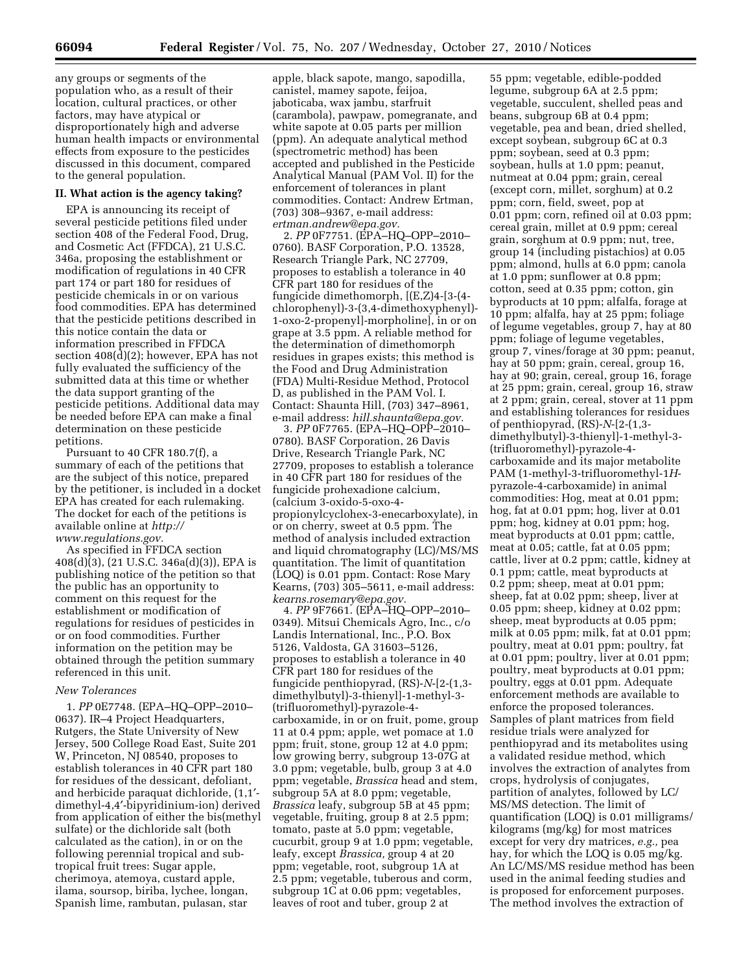any groups or segments of the population who, as a result of their location, cultural practices, or other factors, may have atypical or disproportionately high and adverse human health impacts or environmental effects from exposure to the pesticides discussed in this document, compared to the general population.

# **II. What action is the agency taking?**

EPA is announcing its receipt of several pesticide petitions filed under section 408 of the Federal Food, Drug, and Cosmetic Act (FFDCA), 21 U.S.C. 346a, proposing the establishment or modification of regulations in 40 CFR part 174 or part 180 for residues of pesticide chemicals in or on various food commodities. EPA has determined that the pesticide petitions described in this notice contain the data or information prescribed in FFDCA section 408(d)(2); however, EPA has not fully evaluated the sufficiency of the submitted data at this time or whether the data support granting of the pesticide petitions. Additional data may be needed before EPA can make a final determination on these pesticide petitions.

Pursuant to 40 CFR 180.7(f), a summary of each of the petitions that are the subject of this notice, prepared by the petitioner, is included in a docket EPA has created for each rulemaking. The docket for each of the petitions is available online at *[http://](http://www.regulations.gov)  [www.regulations.gov.](http://www.regulations.gov)* 

As specified in FFDCA section 408(d)(3), (21 U.S.C. 346a(d)(3)), EPA is publishing notice of the petition so that the public has an opportunity to comment on this request for the establishment or modification of regulations for residues of pesticides in or on food commodities. Further information on the petition may be obtained through the petition summary referenced in this unit.

### *New Tolerances*

1. *PP* 0E7748. (EPA–HQ–OPP–2010– 0637). IR–4 Project Headquarters, Rutgers, the State University of New Jersey, 500 College Road East, Suite 201 W, Princeton, NJ 08540, proposes to establish tolerances in 40 CFR part 180 for residues of the dessicant, defoliant, and herbicide paraquat dichloride, (1,1′ dimethyl-4,4′-bipyridinium-ion) derived from application of either the bis(methyl sulfate) or the dichloride salt (both calculated as the cation), in or on the following perennial tropical and subtropical fruit trees: Sugar apple, cherimoya, atemoya, custard apple, ilama, soursop, biriba, lychee, longan, Spanish lime, rambutan, pulasan, star

apple, black sapote, mango, sapodilla, canistel, mamey sapote, feijoa, jaboticaba, wax jambu, starfruit (carambola), pawpaw, pomegranate, and white sapote at 0.05 parts per million (ppm). An adequate analytical method (spectrometric method) has been accepted and published in the Pesticide Analytical Manual (PAM Vol. II) for the enforcement of tolerances in plant commodities. Contact: Andrew Ertman, (703) 308–9367, e-mail address: *[ertman.andrew@epa.gov.](mailto:ertman.andrew@epa.gov)* 

2. *PP* 0F7751. (EPA–HQ–OPP–2010– 0760). BASF Corporation, P.O. 13528, Research Triangle Park, NC 27709, proposes to establish a tolerance in 40 CFR part 180 for residues of the fungicide dimethomorph, [(E,Z)4-[3-(4 chlorophenyl)-3-(3,4-dimethoxyphenyl)- 1-oxo-2-propenyl]-morpholine], in or on grape at 3.5 ppm. A reliable method for the determination of dimethomorph residues in grapes exists; this method is the Food and Drug Administration (FDA) Multi-Residue Method, Protocol D, as published in the PAM Vol. I. Contact: Shaunta Hill, (703) 347–8961, e-mail address: *[hill.shaunta@epa.gov.](mailto:hill.shaunta@epa.gov)* 

3. *PP* 0F7765. (EPA–HQ–OPP–2010– 0780). BASF Corporation, 26 Davis Drive, Research Triangle Park, NC 27709, proposes to establish a tolerance in 40 CFR part 180 for residues of the fungicide prohexadione calcium, (calcium 3-oxido-5-oxo-4 propionylcyclohex-3-enecarboxylate), in or on cherry, sweet at 0.5 ppm. The method of analysis included extraction and liquid chromatography (LC)/MS/MS quantitation. The limit of quantitation (LOQ) is 0.01 ppm. Contact: Rose Mary Kearns, (703) 305–5611, e-mail address: *[kearns.rosemary@epa.gov.](mailto:kearns.rosemary@epa.gov)* 

4. *PP* 9F7661. (EPA–HQ–OPP–2010– 0349). Mitsui Chemicals Agro, Inc., c/o Landis International, Inc., P.O. Box 5126, Valdosta, GA 31603–5126, proposes to establish a tolerance in 40 CFR part 180 for residues of the fungicide penthiopyrad, (RS)-*N*-[2-(1,3 dimethylbutyl)-3-thienyl]-1-methyl-3- (trifluoromethyl)-pyrazole-4 carboxamide, in or on fruit, pome, group 11 at 0.4 ppm; apple, wet pomace at 1.0 ppm; fruit, stone, group 12 at 4.0 ppm; low growing berry, subgroup 13-07G at 3.0 ppm; vegetable, bulb, group 3 at 4.0 ppm; vegetable, *Brassica* head and stem, subgroup 5A at 8.0 ppm; vegetable, *Brassica* leafy, subgroup 5B at 45 ppm; vegetable, fruiting, group 8 at 2.5 ppm; tomato, paste at 5.0 ppm; vegetable, cucurbit, group 9 at 1.0 ppm; vegetable, leafy, except *Brassica,* group 4 at 20 ppm; vegetable, root, subgroup 1A at 2.5 ppm; vegetable, tuberous and corm, subgroup 1C at 0.06 ppm; vegetables, leaves of root and tuber, group 2 at

55 ppm; vegetable, edible-podded legume, subgroup 6A at 2.5 ppm; vegetable, succulent, shelled peas and beans, subgroup 6B at 0.4 ppm; vegetable, pea and bean, dried shelled, except soybean, subgroup 6C at 0.3 ppm; soybean, seed at 0.3 ppm; soybean, hulls at 1.0 ppm; peanut, nutmeat at 0.04 ppm; grain, cereal (except corn, millet, sorghum) at 0.2 ppm; corn, field, sweet, pop at 0.01 ppm; corn, refined oil at 0.03 ppm; cereal grain, millet at 0.9 ppm; cereal grain, sorghum at 0.9 ppm; nut, tree, group 14 (including pistachios) at 0.05 ppm; almond, hulls at 6.0 ppm; canola at 1.0 ppm; sunflower at 0.8 ppm; cotton, seed at 0.35 ppm; cotton, gin byproducts at 10 ppm; alfalfa, forage at 10 ppm; alfalfa, hay at 25 ppm; foliage of legume vegetables, group 7, hay at 80 ppm; foliage of legume vegetables, group 7, vines/forage at 30 ppm; peanut, hay at 50 ppm; grain, cereal, group 16, hay at 90; grain, cereal, group 16, forage at 25 ppm; grain, cereal, group 16, straw at 2 ppm; grain, cereal, stover at 11 ppm and establishing tolerances for residues of penthiopyrad, (RS)-*N*-[2-(1,3 dimethylbutyl)-3-thienyl]-1-methyl-3- (trifluoromethyl)-pyrazole-4 carboxamide and its major metabolite PAM (1-methyl-3-trifluoromethyl-1*H*pyrazole-4-carboxamide) in animal commodities: Hog, meat at 0.01 ppm; hog, fat at 0.01 ppm; hog, liver at 0.01 ppm; hog, kidney at 0.01 ppm; hog, meat byproducts at 0.01 ppm; cattle, meat at 0.05; cattle, fat at 0.05 ppm; cattle, liver at 0.2 ppm; cattle, kidney at 0.1 ppm; cattle, meat byproducts at 0.2 ppm; sheep, meat at 0.01 ppm; sheep, fat at 0.02 ppm; sheep, liver at 0.05 ppm; sheep, kidney at 0.02 ppm; sheep, meat byproducts at 0.05 ppm; milk at 0.05 ppm; milk, fat at 0.01 ppm; poultry, meat at 0.01 ppm; poultry, fat at 0.01 ppm; poultry, liver at 0.01 ppm; poultry, meat byproducts at 0.01 ppm; poultry, eggs at 0.01 ppm. Adequate enforcement methods are available to enforce the proposed tolerances. Samples of plant matrices from field residue trials were analyzed for penthiopyrad and its metabolites using a validated residue method, which involves the extraction of analytes from crops, hydrolysis of conjugates, partition of analytes, followed by LC/ MS/MS detection. The limit of quantification (LOQ) is 0.01 milligrams/ kilograms (mg/kg) for most matrices except for very dry matrices, *e.g.,* pea hay, for which the LOQ is 0.05 mg/kg. An LC/MS/MS residue method has been used in the animal feeding studies and is proposed for enforcement purposes. The method involves the extraction of